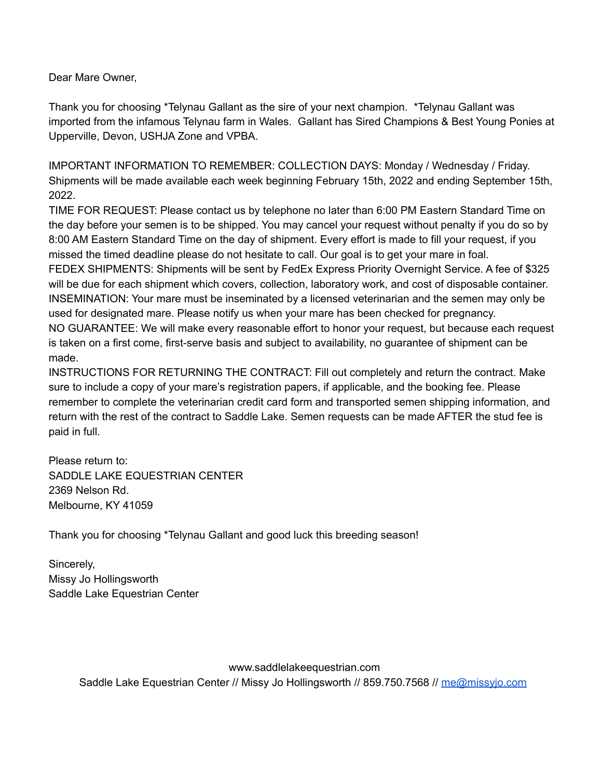Dear Mare Owner,

Thank you for choosing \*Telynau Gallant as the sire of your next champion. \*Telynau Gallant was imported from the infamous Telynau farm in Wales. Gallant has Sired Champions & Best Young Ponies at Upperville, Devon, USHJA Zone and VPBA.

IMPORTANT INFORMATION TO REMEMBER: COLLECTION DAYS: Monday / Wednesday / Friday. Shipments will be made available each week beginning February 15th, 2022 and ending September 15th, 2022.

TIME FOR REQUEST: Please contact us by telephone no later than 6:00 PM Eastern Standard Time on the day before your semen is to be shipped. You may cancel your request without penalty if you do so by 8:00 AM Eastern Standard Time on the day of shipment. Every effort is made to fill your request, if you missed the timed deadline please do not hesitate to call. Our goal is to get your mare in foal. FEDEX SHIPMENTS: Shipments will be sent by FedEx Express Priority Overnight Service. A fee of \$325 will be due for each shipment which covers, collection, laboratory work, and cost of disposable container. INSEMINATION: Your mare must be inseminated by a licensed veterinarian and the semen may only be used for designated mare. Please notify us when your mare has been checked for pregnancy. NO GUARANTEE: We will make every reasonable effort to honor your request, but because each request is taken on a first come, first-serve basis and subject to availability, no guarantee of shipment can be made.

INSTRUCTIONS FOR RETURNING THE CONTRACT: Fill out completely and return the contract. Make sure to include a copy of your mare's registration papers, if applicable, and the booking fee. Please remember to complete the veterinarian credit card form and transported semen shipping information, and return with the rest of the contract to Saddle Lake. Semen requests can be made AFTER the stud fee is paid in full.

Please return to: SADDLE LAKE EQUESTRIAN CENTER 2369 Nelson Rd. Melbourne, KY 41059

Thank you for choosing \*Telynau Gallant and good luck this breeding season!

Sincerely, Missy Jo Hollingsworth Saddle Lake Equestrian Center

> www.saddlelakeequestrian.com Saddle Lake Equestrian Center // Missy Jo Hollingsworth // 859.750.7568 // [me@missyjo.com](mailto:me@missyjo.com)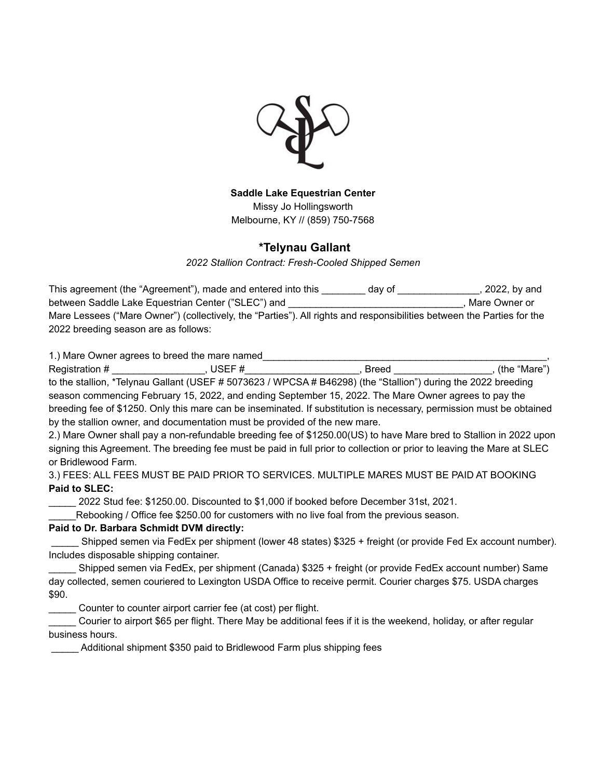

**Saddle Lake Equestrian Center** Missy Jo Hollingsworth Melbourne, KY // (859) 750-7568

# **\*Telynau Gallant**

*2022 Stallion Contract: Fresh-Cooled Shipped Semen*

| This agreement (the "Agreement"), made and entered into this<br>dav of                                                 | . 2022. by and |
|------------------------------------------------------------------------------------------------------------------------|----------------|
| between Saddle Lake Equestrian Center ("SLEC") and                                                                     | Mare Owner or  |
| Mare Lessees ("Mare Owner") (collectively, the "Parties"). All rights and responsibilities between the Parties for the |                |
| 2022 breeding season are as follows:                                                                                   |                |

1.) Mare Owner agrees to breed the mare named\_\_\_\_\_\_\_\_\_\_\_\_\_\_\_\_\_\_\_\_\_\_\_\_\_\_\_\_\_\_\_\_\_\_\_\_\_\_\_\_\_\_\_\_\_\_\_\_\_\_\_\_, Registration # \_\_\_\_\_\_\_\_\_\_\_\_\_\_\_\_\_\_\_\_, USEF # \_\_\_\_\_\_\_\_\_\_\_\_\_\_\_\_\_\_\_\_\_, Breed \_\_\_\_\_\_\_

to the stallion, \*Telynau Gallant (USEF # 5073623 / WPCSA # B46298) (the "Stallion") during the 2022 breeding season commencing February 15, 2022, and ending September 15, 2022. The Mare Owner agrees to pay the breeding fee of \$1250. Only this mare can be inseminated. If substitution is necessary, permission must be obtained by the stallion owner, and documentation must be provided of the new mare.

2.) Mare Owner shall pay a non-refundable breeding fee of \$1250.00(US) to have Mare bred to Stallion in 2022 upon signing this Agreement. The breeding fee must be paid in full prior to collection or prior to leaving the Mare at SLEC or Bridlewood Farm.

3.) FEES: ALL FEES MUST BE PAID PRIOR TO SERVICES. MULTIPLE MARES MUST BE PAID AT BOOKING **Paid to SLEC:**

\_\_\_\_\_ 2022 Stud fee: \$1250.00. Discounted to \$1,000 if booked before December 31st, 2021.

Rebooking / Office fee \$250.00 for customers with no live foal from the previous season.

# **Paid to Dr. Barbara Schmidt DVM directly:**

Shipped semen via FedEx per shipment (lower 48 states) \$325 + freight (or provide Fed Ex account number). Includes disposable shipping container.

Shipped semen via FedEx, per shipment (Canada) \$325 + freight (or provide FedEx account number) Same day collected, semen couriered to Lexington USDA Office to receive permit. Courier charges \$75. USDA charges \$90.

\_\_\_\_\_ Counter to counter airport carrier fee (at cost) per flight.

\_\_\_\_\_ Courier to airport \$65 per flight. There May be additional fees if it is the weekend, holiday, or after regular business hours.

\_\_\_\_\_ Additional shipment \$350 paid to Bridlewood Farm plus shipping fees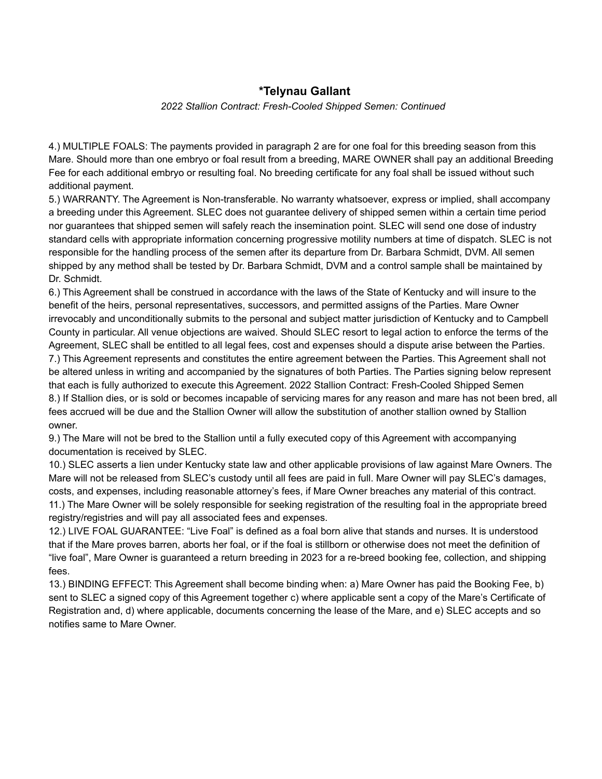# **\*Telynau Gallant**

#### *2022 Stallion Contract: Fresh-Cooled Shipped Semen: Continued*

4.) MULTIPLE FOALS: The payments provided in paragraph 2 are for one foal for this breeding season from this Mare. Should more than one embryo or foal result from a breeding, MARE OWNER shall pay an additional Breeding Fee for each additional embryo or resulting foal. No breeding certificate for any foal shall be issued without such additional payment.

5.) WARRANTY. The Agreement is Non-transferable. No warranty whatsoever, express or implied, shall accompany a breeding under this Agreement. SLEC does not guarantee delivery of shipped semen within a certain time period nor guarantees that shipped semen will safely reach the insemination point. SLEC will send one dose of industry standard cells with appropriate information concerning progressive motility numbers at time of dispatch. SLEC is not responsible for the handling process of the semen after its departure from Dr. Barbara Schmidt, DVM. All semen shipped by any method shall be tested by Dr. Barbara Schmidt, DVM and a control sample shall be maintained by Dr. Schmidt.

6.) This Agreement shall be construed in accordance with the laws of the State of Kentucky and will insure to the benefit of the heirs, personal representatives, successors, and permitted assigns of the Parties. Mare Owner irrevocably and unconditionally submits to the personal and subject matter jurisdiction of Kentucky and to Campbell County in particular. All venue objections are waived. Should SLEC resort to legal action to enforce the terms of the Agreement, SLEC shall be entitled to all legal fees, cost and expenses should a dispute arise between the Parties. 7.) This Agreement represents and constitutes the entire agreement between the Parties. This Agreement shall not be altered unless in writing and accompanied by the signatures of both Parties. The Parties signing below represent that each is fully authorized to execute this Agreement. 2022 Stallion Contract: Fresh-Cooled Shipped Semen 8.) If Stallion dies, or is sold or becomes incapable of servicing mares for any reason and mare has not been bred, all fees accrued will be due and the Stallion Owner will allow the substitution of another stallion owned by Stallion owner.

9.) The Mare will not be bred to the Stallion until a fully executed copy of this Agreement with accompanying documentation is received by SLEC.

10.) SLEC asserts a lien under Kentucky state law and other applicable provisions of law against Mare Owners. The Mare will not be released from SLEC's custody until all fees are paid in full. Mare Owner will pay SLEC's damages, costs, and expenses, including reasonable attorney's fees, if Mare Owner breaches any material of this contract. 11.) The Mare Owner will be solely responsible for seeking registration of the resulting foal in the appropriate breed registry/registries and will pay all associated fees and expenses.

12.) LIVE FOAL GUARANTEE: "Live Foal" is defined as a foal born alive that stands and nurses. It is understood that if the Mare proves barren, aborts her foal, or if the foal is stillborn or otherwise does not meet the definition of "live foal", Mare Owner is guaranteed a return breeding in 2023 for a re-breed booking fee, collection, and shipping fees.

13.) BINDING EFFECT: This Agreement shall become binding when: a) Mare Owner has paid the Booking Fee, b) sent to SLEC a signed copy of this Agreement together c) where applicable sent a copy of the Mare's Certificate of Registration and, d) where applicable, documents concerning the lease of the Mare, and e) SLEC accepts and so notifies same to Mare Owner.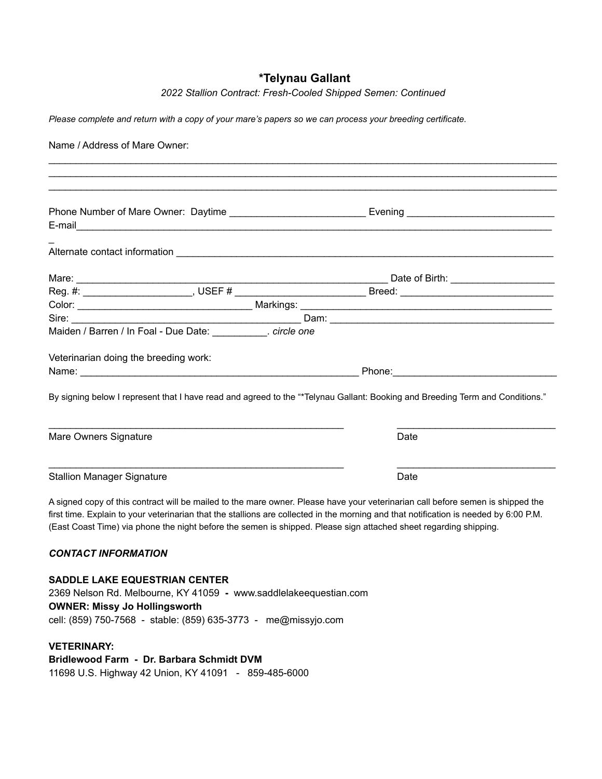### **\*Telynau Gallant**

*2022 Stallion Contract: Fresh-Cooled Shipped Semen: Continued*

*Please complete and return with a copy of your mare's papers so we can process your breeding certificate.*

#### Name / Address of Mare Owner:

|                                       |                                                              | Reg. #: ________________________, USEF # ______________________________Breed: ________________________________                |  |
|---------------------------------------|--------------------------------------------------------------|-------------------------------------------------------------------------------------------------------------------------------|--|
|                                       |                                                              |                                                                                                                               |  |
|                                       |                                                              |                                                                                                                               |  |
|                                       | Maiden / Barren / In Foal - Due Date: __________. circle one |                                                                                                                               |  |
| Veterinarian doing the breeding work: |                                                              |                                                                                                                               |  |
|                                       |                                                              | Phone: 2008 2009 2009 2010 2021 2022 2023 2024 2022 2023 2024 2022 2023 2024 2022 2023 2024 2022 2023 2024 20                 |  |
|                                       |                                                              | By signing below I represent that I have read and agreed to the "*Telynau Gallant: Booking and Breeding Term and Conditions." |  |
| Mare Owners Signature                 |                                                              | Date                                                                                                                          |  |
| <b>Stallion Manager Signature</b>     |                                                              | Date                                                                                                                          |  |

A signed copy of this contract will be mailed to the mare owner. Please have your veterinarian call before semen is shipped the first time. Explain to your veterinarian that the stallions are collected in the morning and that notification is needed by 6:00 P.M. (East Coast Time) via phone the night before the semen is shipped. Please sign attached sheet regarding shipping.

#### *CONTACT INFORMATION*

**SADDLE LAKE EQUESTRIAN CENTER** 2369 Nelson Rd. Melbourne, KY 41059 **-** www.saddlelakeequestian.com **OWNER: Missy Jo Hollingsworth** cell: (859) 750-7568 - stable: (859) 635-3773 - me@missyjo.com

#### **VETERINARY:**

**Bridlewood Farm - Dr. Barbara Schmidt DVM** 11698 U.S. Highway 42 Union, KY 41091 - 859-485-6000